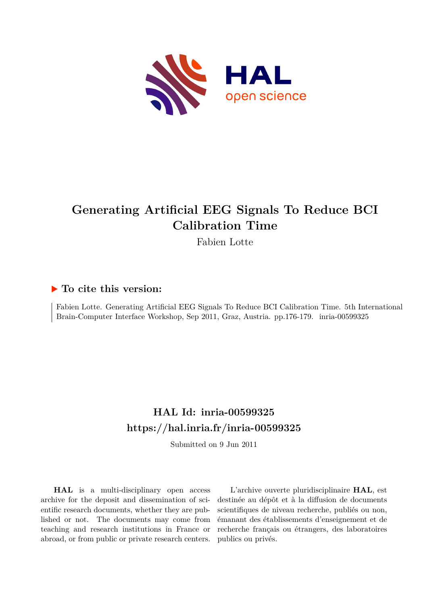

# **Generating Artificial EEG Signals To Reduce BCI Calibration Time**

Fabien Lotte

## **To cite this version:**

Fabien Lotte. Generating Artificial EEG Signals To Reduce BCI Calibration Time. 5th International Brain-Computer Interface Workshop, Sep 2011, Graz, Austria. pp.176-179. inria-00599325

## **HAL Id: inria-00599325 <https://hal.inria.fr/inria-00599325>**

Submitted on 9 Jun 2011

**HAL** is a multi-disciplinary open access archive for the deposit and dissemination of scientific research documents, whether they are published or not. The documents may come from teaching and research institutions in France or abroad, or from public or private research centers.

L'archive ouverte pluridisciplinaire **HAL**, est destinée au dépôt et à la diffusion de documents scientifiques de niveau recherche, publiés ou non, émanant des établissements d'enseignement et de recherche français ou étrangers, des laboratoires publics ou privés.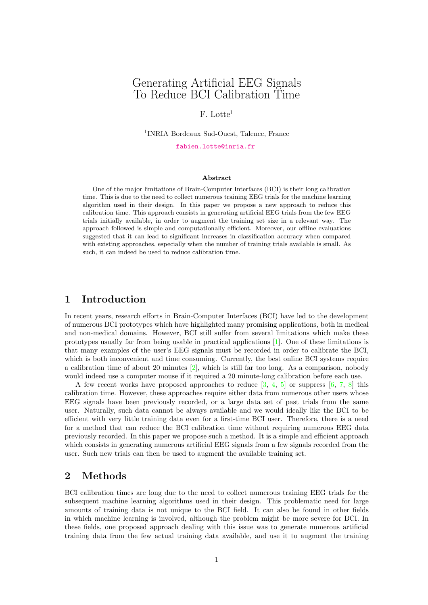## Generating Artificial EEG Signals To Reduce BCI Calibration Time

#### F. Lotte<sup>1</sup>

1 INRIA Bordeaux Sud-Ouest, Talence, France

[fabien.lotte@inria.fr](mailto:fabien.lotte@inria.fr)

#### Abstract

One of the major limitations of Brain-Computer Interfaces (BCI) is their long calibration time. This is due to the need to collect numerous training EEG trials for the machine learning algorithm used in their design. In this paper we propose a new approach to reduce this calibration time. This approach consists in generating artificial EEG trials from the few EEG trials initially available, in order to augment the training set size in a relevant way. The approach followed is simple and computationally efficient. Moreover, our offline evaluations suggested that it can lead to significant increases in classification accuracy when compared with existing approaches, especially when the number of training trials available is small. As such, it can indeed be used to reduce calibration time.

#### 1 Introduction

In recent years, research efforts in Brain-Computer Interfaces (BCI) have led to the development of numerous BCI prototypes which have highlighted many promising applications, both in medical and non-medical domains. However, BCI still suffer from several limitations which make these prototypes usually far from being usable in practical applications [\[1\]](#page-4-0). One of these limitations is that many examples of the user's EEG signals must be recorded in order to calibrate the BCI, which is both inconvenient and time consuming. Currently, the best online BCI systems require a calibration time of about 20 minutes  $[2]$ , which is still far too long. As a comparison, nobody would indeed use a computer mouse if it required a 20 minute-long calibration before each use.

A few recent works have proposed approaches to reduce  $[3, 4, 5]$  $[3, 4, 5]$  $[3, 4, 5]$  $[3, 4, 5]$  or suppress  $[6, 7, 8]$  $[6, 7, 8]$  $[6, 7, 8]$  $[6, 7, 8]$  this calibration time. However, these approaches require either data from numerous other users whose EEG signals have been previously recorded, or a large data set of past trials from the same user. Naturally, such data cannot be always available and we would ideally like the BCI to be efficient with very little training data even for a first-time BCI user. Therefore, there is a need for a method that can reduce the BCI calibration time without requiring numerous EEG data previously recorded. In this paper we propose such a method. It is a simple and efficient approach which consists in generating numerous artificial EEG signals from a few signals recorded from the user. Such new trials can then be used to augment the available training set.

#### 2 Methods

BCI calibration times are long due to the need to collect numerous training EEG trials for the subsequent machine learning algorithms used in their design. This problematic need for large amounts of training data is not unique to the BCI field. It can also be found in other fields in which machine learning is involved, although the problem might be more severe for BCI. In these fields, one proposed approach dealing with this issue was to generate numerous artificial training data from the few actual training data available, and use it to augment the training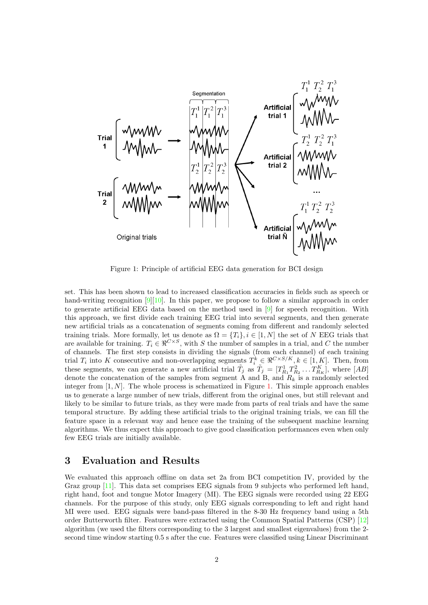

<span id="page-2-0"></span>Figure 1: Principle of artificial EEG data generation for BCI design

set. This has been shown to lead to increased classification accuracies in fields such as speech or hand-writing recognition [\[9\]](#page-4-8)[\[10\]](#page-4-9). In this paper, we propose to follow a similar approach in order to generate artificial EEG data based on the method used in [\[9\]](#page-4-8) for speech recognition. With this approach, we first divide each training EEG trial into several segments, and then generate new artificial trials as a concatenation of segments coming from different and randomly selected training trials. More formally, let us denote as  $\Omega = \{T_i\}, i \in [1, N]$  the set of N EEG trials that are available for training.  $T_i \in \mathbb{R}^{C \times S}$ , with S the number of samples in a trial, and C the number of channels. The first step consists in dividing the signals (from each channel) of each training trial  $T_i$  into K consecutive and non-overlapping segments  $T_i^k \in \Re^{C \times S/K}, k \in [1, K]$ . Then, from these segments, we can generate a new artificial trial  $\tilde{T}_j$  as  $\tilde{T}_j = [T_R^1]$  $T^1_{R_1}T^2_R$  $T_{R_2}^2 \ldots T_{R_K}^K$ , where  $[AB]$ denote the concatenation of the samples from segment A and B, and  $R_k$  is a randomly selected integer from  $[1, N]$ . The whole process is schematized in Figure [1.](#page-2-0) This simple approach enables us to generate a large number of new trials, different from the original ones, but still relevant and likely to be similar to future trials, as they were made from parts of real trials and have the same temporal structure. By adding these artificial trials to the original training trials, we can fill the feature space in a relevant way and hence ease the training of the subsequent machine learning algorithms. We thus expect this approach to give good classification performances even when only few EEG trials are initially available.

#### 3 Evaluation and Results

We evaluated this approach offline on data set 2a from BCI competition IV, provided by the Graz group [\[11\]](#page-4-10). This data set comprises EEG signals from 9 subjects who performed left hand, right hand, foot and tongue Motor Imagery (MI). The EEG signals were recorded using 22 EEG channels. For the purpose of this study, only EEG signals corresponding to left and right hand MI were used. EEG signals were band-pass filtered in the 8-30 Hz frequency band using a 5th order Butterworth filter. Features were extracted using the Common Spatial Patterns (CSP) [\[12\]](#page-4-11) algorithm (we used the filters corresponding to the 3 largest and smallest eigenvalues) from the 2 second time window starting 0.5 s after the cue. Features were classified using Linear Discriminant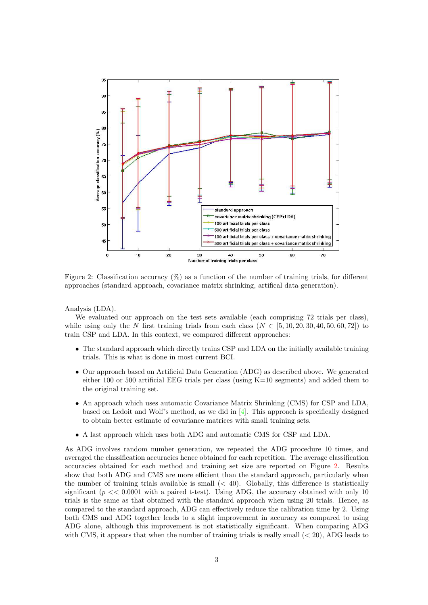

<span id="page-3-0"></span>Figure 2: Classification accuracy  $(\%)$  as a function of the number of training trials, for different approaches (standard approach, covariance matrix shrinking, artifical data generation).

Analysis (LDA).

We evaluated our approach on the test sets available (each comprising 72 trials per class), while using only the N first training trials from each class  $(N \in [5, 10, 20, 30, 40, 50, 60, 72])$  to train CSP and LDA. In this context, we compared different approaches:

- The standard approach which directly trains CSP and LDA on the initially available training trials. This is what is done in most current BCI.
- Our approach based on Artificial Data Generation (ADG) as described above. We generated either 100 or 500 artificial EEG trials per class (using  $K=10$  segments) and added them to the original training set.
- An approach which uses automatic Covariance Matrix Shrinking (CMS) for CSP and LDA, based on Ledoit and Wolf's method, as we did in [\[4\]](#page-4-3). This approach is specifically designed to obtain better estimate of covariance matrices with small training sets.
- A last approach which uses both ADG and automatic CMS for CSP and LDA.

As ADG involves random number generation, we repeated the ADG procedure 10 times, and averaged the classification accuracies hence obtained for each repetition. The average classification accuracies obtained for each method and training set size are reported on Figure [2.](#page-3-0) Results show that both ADG and CMS are more efficient than the standard approach, particularly when the number of training trials available is small  $( $40$ ). Globally, this difference is statistically$ significant ( $p \ll 0.0001$  with a paired t-test). Using ADG, the accuracy obtained with only 10 trials is the same as that obtained with the standard approach when using 20 trials. Hence, as compared to the standard approach, ADG can effectively reduce the calibration time by 2. Using both CMS and ADG together leads to a slight improvement in accuracy as compared to using ADG alone, although this improvement is not statistically significant. When comparing ADG with CMS, it appears that when the number of training trials is really small  $( $20$ ), ADG leads to$